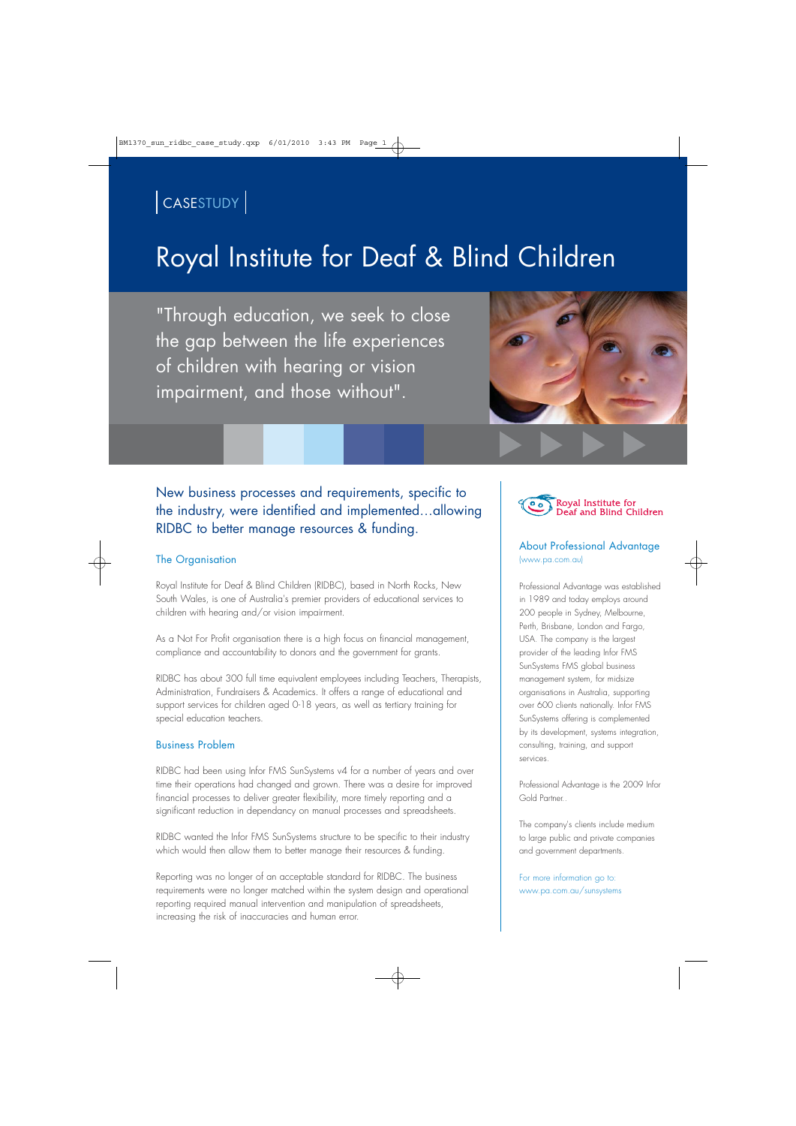### CASESTUDY

## Royal Institute for Deaf & Blind Children

"Through education, we seek to close the gap between the life experiences of children with hearing or vision impairment, and those without".



### New business processes and requirements, specific to the industry, were identified and implemented…allowing RIDBC to better manage resources & funding.

#### The Organisation

Royal Institute for Deaf & Blind Children (RIDBC), based in North Rocks, New South Wales, is one of Australia's premier providers of educational services to children with hearing and/or vision impairment.

As a Not For Profit organisation there is a high focus on financial management, compliance and accountability to donors and the government for grants.

RIDBC has about 300 full time equivalent employees including Teachers, Therapists, Administration, Fundraisers & Academics. It offers a range of educational and support services for children aged 0-18 years, as well as tertiary training for special education teachers.

#### Business Problem

RIDBC had been using Infor FMS SunSystems v4 for a number of years and over time their operations had changed and grown. There was a desire for improved financial processes to deliver greater flexibility, more timely reporting and a significant reduction in dependancy on manual processes and spreadsheets.

RIDBC wanted the Infor FMS SunSystems structure to be specific to their industry which would then allow them to better manage their resources & funding.

Reporting was no longer of an acceptable standard for RIDBC. The business requirements were no longer matched within the system design and operational reporting required manual intervention and manipulation of spreadsheets, increasing the risk of inaccuracies and human error.



#### About Professional Advantage (www.pa.com.au)

Professional Advantage was established in 1989 and today employs around 200 people in Sydney, Melbourne, Perth, Brisbane, London and Fargo, USA. The company is the largest provider of the leading Infor FMS SunSystems FMS global business management system, for midsize organisations in Australia, supporting over 600 clients nationally. Infor FMS SunSystems offering is complemented by its development, systems integration, consulting, training, and support services.

Professional Advantage is the 2009 Infor Gold Partner..

The company's clients include medium to large public and private companies and government departments.

For more information go to: www.pa.com.au/sunsystems